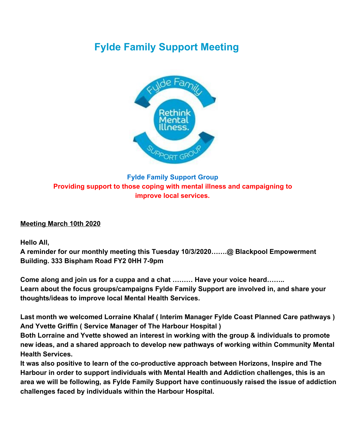# **Fylde Family Support Meeting**



## **Fylde Family Support Group Providing support to those coping with mental illness and campaigning to improve local services.**

#### **Meeting March 10th 2020**

**Hello All,**

**A reminder for our monthly meeting this Tuesday 10/3/2020…….@ Blackpool Empowerment Building. 333 Bispham Road FY2 0HH 7-9pm**

**Come along and join us for a cuppa and a chat ……… Have your voice heard…….. Learn about the focus groups/campaigns Fylde Family Support are involved in, and share your thoughts/ideas to improve local Mental Health Services.**

**Last month we welcomed Lorraine Khalaf ( Interim Manager Fylde Coast Planned Care pathways ) And Yvette Griffin ( Service Manager of The Harbour Hospital )**

**Both Lorraine and Yvette showed an interest in working with the group & individuals to promote new ideas, and a shared approach to develop new pathways of working within Community Mental Health Services.**

**It was also positive to learn of the co-productive approach between Horizons, Inspire and The Harbour in order to support individuals with Mental Health and Addiction challenges, this is an area we will be following, as Fylde Family Support have continuously raised the issue of addiction challenges faced by individuals within the Harbour Hospital.**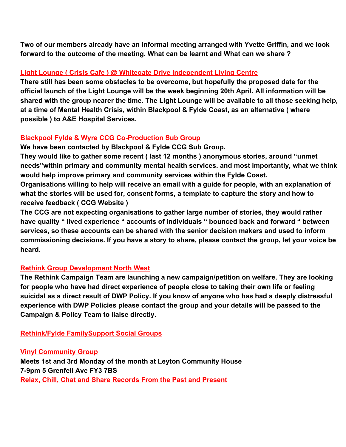**Two of our members already have an informal meeting arranged with Yvette Griffin, and we look forward to the outcome of the meeting. What can be learnt and What can we share ?**

#### **Light Lounge ( Crisis Cafe ) @ Whitegate Drive Independent Living Centre**

**There still has been some obstacles to be overcome, but hopefully the proposed date for the official launch of the Light Lounge will be the week beginning 20th April. All information will be shared with the group nearer the time. The Light Lounge will be available to all those seeking help, at a time of Mental Health Crisis, within Blackpool & Fylde Coast, as an alternative ( where possible ) to A&E Hospital Services.**

### **Blackpool Fylde & Wyre CCG Co-Production Sub Group**

**We have been contacted by Blackpool & Fylde CCG Sub Group.**

**They would like to gather some recent ( last 12 months ) anonymous stories, around "unmet needs"within primary and community mental health services. and most importantly, what we think would help improve primary and community services within the Fylde Coast.**

**Organisations willing to help will receive an email with a guide for people, with an explanation of what the stories will be used for, consent forms, a template to capture the story and how to receive feedback ( CCG Website )**

**The CCG are not expecting organisations to gather large number of stories, they would rather have quality " lived experience " accounts of individuals " bounced back and forward " between services, so these accounts can be shared with the senior decision makers and used to inform commissioning decisions. If you have a story to share, please contact the group, let your voice be heard.**

#### **Rethink Group Development North West**

**The Rethink Campaign Team are launching a new campaign/petition on welfare. They are looking for people who have had direct experience of people close to taking their own life or feeling suicidal as a direct result of DWP Policy. If you know of anyone who has had a deeply distressful experience with DWP Policies please contact the group and your details will be passed to the Campaign & Policy Team to liaise directly.**

**Rethink/Fylde FamilySupport Social Groups**

**Vinyl Community Group**

**Meets 1st and 3rd Monday of the month at Leyton Community House 7-9pm 5 Grenfell Ave FY3 7BS Relax, Chill, Chat and Share Records From the Past and Present**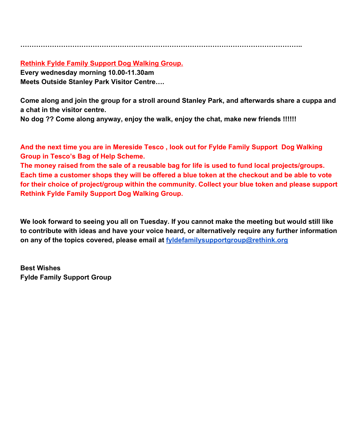**……………………………………………………………………………………………………………..**

#### **Rethink Fylde Family Support Dog Walking Group.**

**Every wednesday morning 10.00-11.30am Meets Outside Stanley Park Visitor Centre….**

**Come along and join the group for a stroll around Stanley Park, and afterwards share a cuppa and a chat in the visitor centre.**

**No dog ?? Come along anyway, enjoy the walk, enjoy the chat, make new friends !!!!!!**

**And the next time you are in Mereside Tesco , look out for Fylde Family Support Dog Walking Group in Tesco's Bag of Help Scheme.**

**The money raised from the sale of a reusable bag for life is used to fund local projects/groups. Each time a customer shops they will be offered a blue token at the checkout and be able to vote for their choice of project/group within the community. Collect your blue token and please support Rethink Fylde Family Support Dog Walking Group.**

**We look forward to seeing you all on Tuesday. If you cannot make the meeting but would still like to contribute with ideas and have your voice heard, or alternatively require any further information on any of the topics covered, please email at [fyldefamilysupportgroup@rethink.org](mailto:fyldefamilysupportgroup@rethink.org)**

**Best Wishes Fylde Family Support Group**